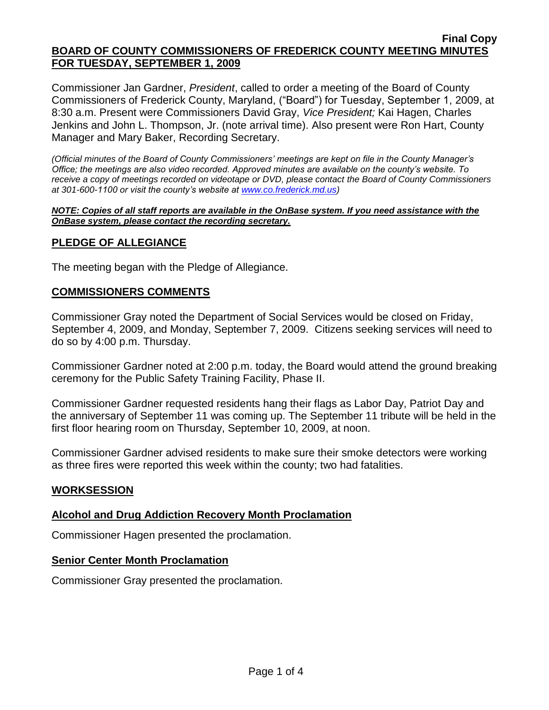Commissioner Jan Gardner, *President*, called to order a meeting of the Board of County Commissioners of Frederick County, Maryland, ("Board") for Tuesday, September 1, 2009, at 8:30 a.m. Present were Commissioners David Gray, *Vice President;* Kai Hagen, Charles Jenkins and John L. Thompson, Jr. (note arrival time). Also present were Ron Hart, County Manager and Mary Baker, Recording Secretary.

*(Official minutes of the Board of County Commissioners' meetings are kept on file in the County Manager's Office; the meetings are also video recorded. Approved minutes are available on the county's website. To receive a copy of meetings recorded on videotape or DVD, please contact the Board of County Commissioners at 301-600-1100 or visit the county's website at [www.co.frederick.md.us\)](http://www.co.frederick.md.us/)*

#### *NOTE: Copies of all staff reports are available in the OnBase system. If you need assistance with the OnBase system, please contact the recording secretary.*

# **PLEDGE OF ALLEGIANCE**

The meeting began with the Pledge of Allegiance.

### **COMMISSIONERS COMMENTS**

Commissioner Gray noted the Department of Social Services would be closed on Friday, September 4, 2009, and Monday, September 7, 2009. Citizens seeking services will need to do so by 4:00 p.m. Thursday.

Commissioner Gardner noted at 2:00 p.m. today, the Board would attend the ground breaking ceremony for the Public Safety Training Facility, Phase II.

Commissioner Gardner requested residents hang their flags as Labor Day, Patriot Day and the anniversary of September 11 was coming up. The September 11 tribute will be held in the first floor hearing room on Thursday, September 10, 2009, at noon.

Commissioner Gardner advised residents to make sure their smoke detectors were working as three fires were reported this week within the county; two had fatalities.

### **WORKSESSION**

### **Alcohol and Drug Addiction Recovery Month Proclamation**

Commissioner Hagen presented the proclamation.

### **Senior Center Month Proclamation**

Commissioner Gray presented the proclamation.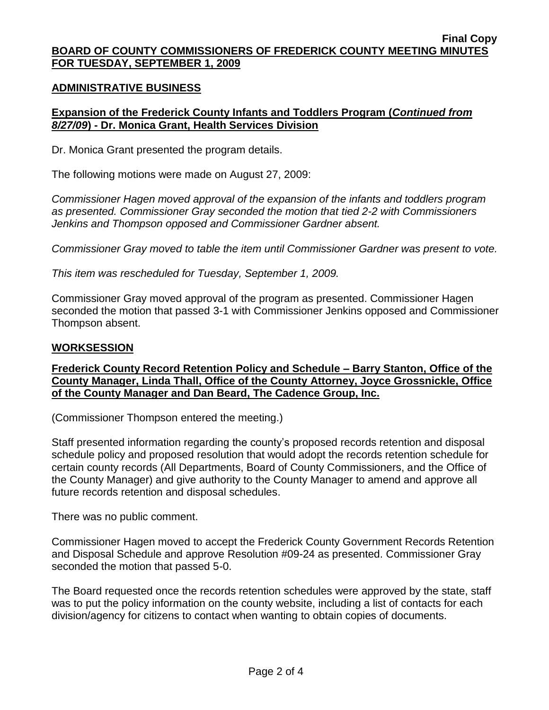### **ADMINISTRATIVE BUSINESS**

# **Expansion of the Frederick County Infants and Toddlers Program (***Continued from 8/27/09***) - Dr. Monica Grant, Health Services Division**

Dr. Monica Grant presented the program details.

The following motions were made on August 27, 2009:

*Commissioner Hagen moved approval of the expansion of the infants and toddlers program as presented. Commissioner Gray seconded the motion that tied 2-2 with Commissioners Jenkins and Thompson opposed and Commissioner Gardner absent.* 

*Commissioner Gray moved to table the item until Commissioner Gardner was present to vote.* 

*This item was rescheduled for Tuesday, September 1, 2009.* 

Commissioner Gray moved approval of the program as presented. Commissioner Hagen seconded the motion that passed 3-1 with Commissioner Jenkins opposed and Commissioner Thompson absent.

### **WORKSESSION**

**Frederick County Record Retention Policy and Schedule – Barry Stanton, Office of the County Manager, Linda Thall, Office of the County Attorney, Joyce Grossnickle, Office of the County Manager and Dan Beard, The Cadence Group, Inc.**

(Commissioner Thompson entered the meeting.)

Staff presented information regarding the county's proposed records retention and disposal schedule policy and proposed resolution that would adopt the records retention schedule for certain county records (All Departments, Board of County Commissioners, and the Office of the County Manager) and give authority to the County Manager to amend and approve all future records retention and disposal schedules.

There was no public comment.

Commissioner Hagen moved to accept the Frederick County Government Records Retention and Disposal Schedule and approve Resolution #09-24 as presented. Commissioner Gray seconded the motion that passed 5-0.

The Board requested once the records retention schedules were approved by the state, staff was to put the policy information on the county website, including a list of contacts for each division/agency for citizens to contact when wanting to obtain copies of documents.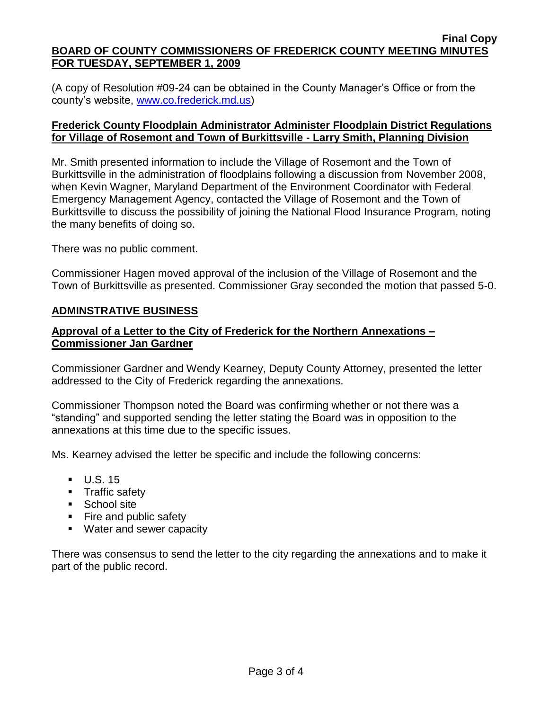(A copy of Resolution #09-24 can be obtained in the County Manager's Office or from the county's website, [www.co.frederick.md.us\)](www.co.frederick.md.us)

### **Frederick County Floodplain Administrator Administer Floodplain District Regulations for Village of Rosemont and Town of Burkittsville - Larry Smith, Planning Division**

Mr. Smith presented information to include the Village of Rosemont and the Town of Burkittsville in the administration of floodplains following a discussion from November 2008, when Kevin Wagner, Maryland Department of the Environment Coordinator with Federal Emergency Management Agency, contacted the Village of Rosemont and the Town of Burkittsville to discuss the possibility of joining the National Flood Insurance Program, noting the many benefits of doing so.

There was no public comment.

Commissioner Hagen moved approval of the inclusion of the Village of Rosemont and the Town of Burkittsville as presented. Commissioner Gray seconded the motion that passed 5-0.

### **ADMINSTRATIVE BUSINESS**

# **Approval of a Letter to the City of Frederick for the Northern Annexations – Commissioner Jan Gardner**

Commissioner Gardner and Wendy Kearney, Deputy County Attorney, presented the letter addressed to the City of Frederick regarding the annexations.

Commissioner Thompson noted the Board was confirming whether or not there was a "standing" and supported sending the letter stating the Board was in opposition to the annexations at this time due to the specific issues.

Ms. Kearney advised the letter be specific and include the following concerns:

- $\blacksquare$  U.S. 15
- **Traffic safety**
- School site
- Fire and public safety
- **Water and sewer capacity**

There was consensus to send the letter to the city regarding the annexations and to make it part of the public record.